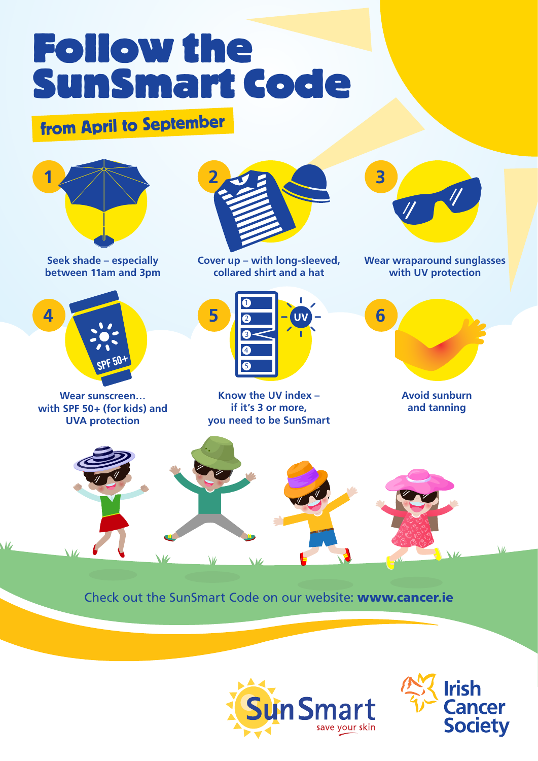# Follow the SunSmart Code

# from April to September



**Seek shade – especially between 11am and 3pm**



**Wear sunscreen… with SPF 50+ (for kids) and UVA protection**



**Cover up – with long-sleeved, collared shirt and a hat**



**Know the UV index – if it's 3 or more, you need to be SunSmart**



**Wear wraparound sunglasses with UV protection**



**Avoid sunburn and tanning**



Check out the SunSmart Code on our website: www.cancer.ie